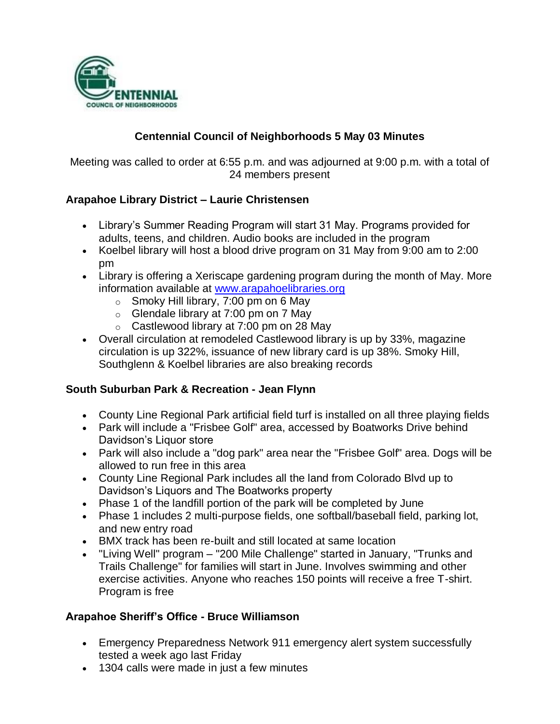

# **Centennial Council of Neighborhoods 5 May 03 Minutes**

Meeting was called to order at 6:55 p.m. and was adjourned at 9:00 p.m. with a total of 24 members present

## **Arapahoe Library District – Laurie Christensen**

- Library's Summer Reading Program will start 31 May. Programs provided for adults, teens, and children. Audio books are included in the program
- Koelbel library will host a blood drive program on 31 May from 9:00 am to 2:00 pm
- Library is offering a Xeriscape gardening program during the month of May. More information available at [www.arapahoelibraries.org](http://www.arapahoelibraries.org/)
	- $\circ$  Smoky Hill library, 7:00 pm on 6 May
	- $\circ$  Glendale library at 7:00 pm on 7 May
	- $\circ$  Castlewood library at 7:00 pm on 28 May
- Overall circulation at remodeled Castlewood library is up by 33%, magazine circulation is up 322%, issuance of new library card is up 38%. Smoky Hill, Southglenn & Koelbel libraries are also breaking records

#### **South Suburban Park & Recreation - Jean Flynn**

- County Line Regional Park artificial field turf is installed on all three playing fields
- Park will include a "Frisbee Golf" area, accessed by Boatworks Drive behind Davidson's Liquor store
- Park will also include a "dog park" area near the "Frisbee Golf" area. Dogs will be allowed to run free in this area
- County Line Regional Park includes all the land from Colorado Blvd up to Davidson's Liquors and The Boatworks property
- Phase 1 of the landfill portion of the park will be completed by June
- Phase 1 includes 2 multi-purpose fields, one softball/baseball field, parking lot, and new entry road
- BMX track has been re-built and still located at same location
- "Living Well" program "200 Mile Challenge" started in January, "Trunks and Trails Challenge" for families will start in June. Involves swimming and other exercise activities. Anyone who reaches 150 points will receive a free T-shirt. Program is free

#### **Arapahoe Sheriff's Office - Bruce Williamson**

- Emergency Preparedness Network 911 emergency alert system successfully tested a week ago last Friday
- 1304 calls were made in just a few minutes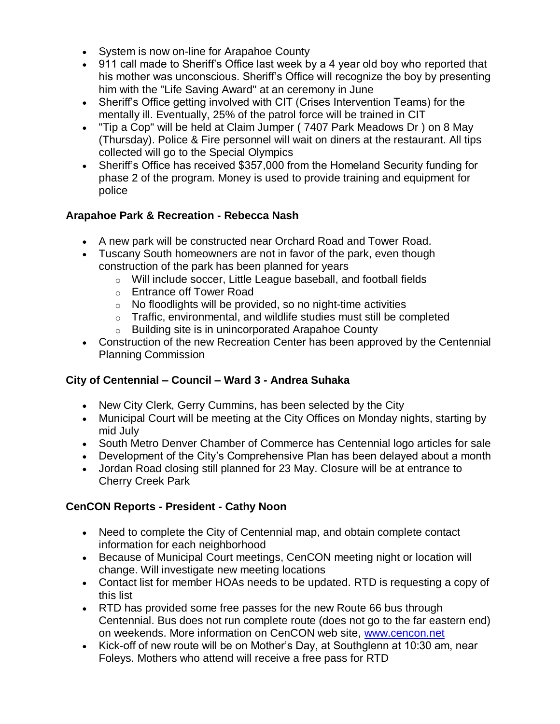- System is now on-line for Arapahoe County
- 911 call made to Sheriff's Office last week by a 4 year old boy who reported that his mother was unconscious. Sheriff's Office will recognize the boy by presenting him with the "Life Saving Award" at an ceremony in June
- Sheriff's Office getting involved with CIT (Crises Intervention Teams) for the mentally ill. Eventually, 25% of the patrol force will be trained in CIT
- "Tip a Cop" will be held at Claim Jumper ( 7407 Park Meadows Dr ) on 8 May (Thursday). Police & Fire personnel will wait on diners at the restaurant. All tips collected will go to the Special Olympics
- Sheriff's Office has received \$357,000 from the Homeland Security funding for phase 2 of the program. Money is used to provide training and equipment for police

## **Arapahoe Park & Recreation - Rebecca Nash**

- A new park will be constructed near Orchard Road and Tower Road.
- Tuscany South homeowners are not in favor of the park, even though construction of the park has been planned for years
	- o Will include soccer, Little League baseball, and football fields
	- o Entrance off Tower Road
	- $\circ$  No floodlights will be provided, so no night-time activities
	- $\circ$  Traffic, environmental, and wildlife studies must still be completed
	- o Building site is in unincorporated Arapahoe County
- Construction of the new Recreation Center has been approved by the Centennial Planning Commission

## **City of Centennial – Council – Ward 3 - Andrea Suhaka**

- New City Clerk, Gerry Cummins, has been selected by the City
- Municipal Court will be meeting at the City Offices on Monday nights, starting by mid July
- South Metro Denver Chamber of Commerce has Centennial logo articles for sale
- Development of the City's Comprehensive Plan has been delayed about a month
- Jordan Road closing still planned for 23 May. Closure will be at entrance to Cherry Creek Park

## **CenCON Reports - President - Cathy Noon**

- Need to complete the City of Centennial map, and obtain complete contact information for each neighborhood
- Because of Municipal Court meetings, CenCON meeting night or location will change. Will investigate new meeting locations
- Contact list for member HOAs needs to be updated. RTD is requesting a copy of this list
- RTD has provided some free passes for the new Route 66 bus through Centennial. Bus does not run complete route (does not go to the far eastern end) on weekends. More information on CenCON web site, [www.cencon.net](http://www.cencon.net/)
- Kick-off of new route will be on Mother's Day, at Southglenn at 10:30 am, near Foleys. Mothers who attend will receive a free pass for RTD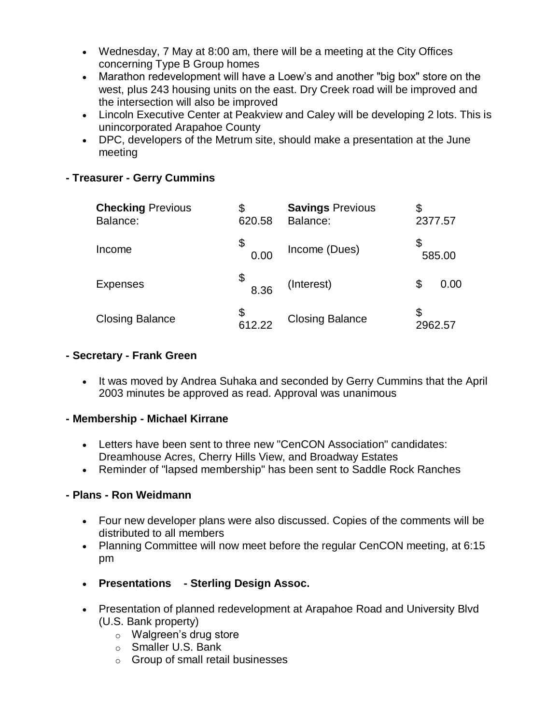- Wednesday, 7 May at 8:00 am, there will be a meeting at the City Offices concerning Type B Group homes
- Marathon redevelopment will have a Loew's and another "big box" store on the west, plus 243 housing units on the east. Dry Creek road will be improved and the intersection will also be improved
- Lincoln Executive Center at Peakview and Caley will be developing 2 lots. This is unincorporated Arapahoe County
- DPC, developers of the Metrum site, should make a presentation at the June meeting

## **- Treasurer - Gerry Cummins**

| <b>Checking Previous</b><br>Balance: | \$<br>620.58 | <b>Savings Previous</b><br>Balance: | \$<br>2377.57 |
|--------------------------------------|--------------|-------------------------------------|---------------|
| Income                               | \$<br>0.00   | Income (Dues)                       | 585.00        |
| <b>Expenses</b>                      | 8.36         | (Interest)                          | \$<br>0.00    |
| <b>Closing Balance</b>               | 612.22       | <b>Closing Balance</b>              | 2962.57       |

#### **- Secretary - Frank Green**

• It was moved by Andrea Suhaka and seconded by Gerry Cummins that the April 2003 minutes be approved as read. Approval was unanimous

#### **- Membership - Michael Kirrane**

- Letters have been sent to three new "CenCON Association" candidates: Dreamhouse Acres, Cherry Hills View, and Broadway Estates
- Reminder of "lapsed membership" has been sent to Saddle Rock Ranches

#### **- Plans - Ron Weidmann**

- Four new developer plans were also discussed. Copies of the comments will be distributed to all members
- Planning Committee will now meet before the regular CenCON meeting, at 6:15 pm
- **Presentations - Sterling Design Assoc.**
- Presentation of planned redevelopment at Arapahoe Road and University Blvd (U.S. Bank property)
	- o Walgreen's drug store
	- o Smaller U.S. Bank
	- o Group of small retail businesses